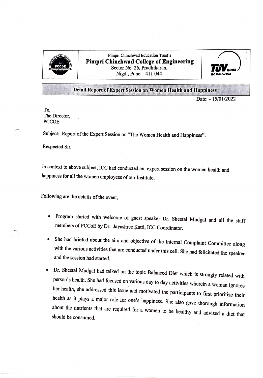

Pimpri Chinchwad Education Trust's Pimpri Chinchwad College of Engineering Sector No. 26, Pradhikaran, Nigdi, Pune - 411 044



Detail Report of Expert Session on Women Health and Happiness

Date: 15/01/2022

To, The Director, **PCCOE** 

Subject: Report of the Expert Session on "The Women Health and Happiness".

Respected Sir,

In context to above subject, ICC had conducted an expert session on the women health and happiness for all the women employees of our Institute.

Following are the details of the event,

- Program started with welcome of guest speaker Dr. Sheetal Mudgal and all the staff members of PCCoE by Dr. Jayashree Katti, ICC Coordinator.
- .She had briefed about the aim and objective of the Internal Complaint Committee along with the various activities that are conducted under this cel. She had felicitated the speaker and the session had started.
- Dr. Sheetal Mudgal had talked on the topic Balanced Diet which is strongly related with person's health. She had focused on various day to day activities wherein a woman ignores her health, she addressed this issue and motivated the participants to first prioritize their health as it plays a major role for one's happiness. She also gave thorough information about the nutrients that are required fo